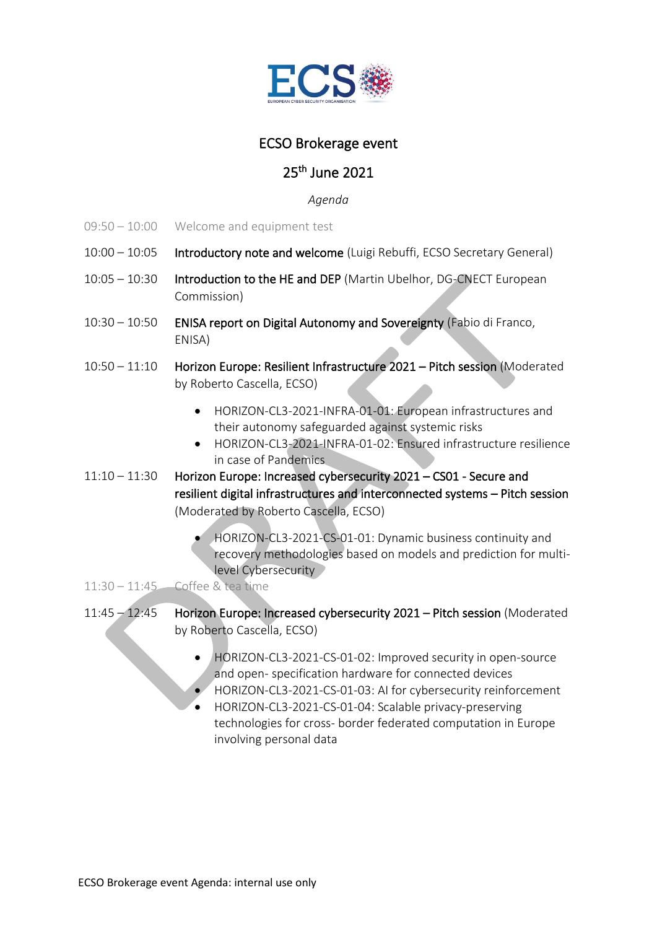

## ECSO Brokerage event

## 25th June 2021

*Agenda*

- 09:50 10:00 Welcome and equipment test
- 10:00 10:05 Introductory note and welcome (Luigi Rebuffi, ECSO Secretary General)
- 10:05 10:30 Introduction to the HE and DEP (Martin Ubelhor, DG-CNECT European Commission)
- 10:30 10:50 ENISA report on Digital Autonomy and Sovereignty (Fabio di Franco, ENISA)
- 10:50 11:10 Horizon Europe: Resilient Infrastructure 2021 Pitch session (Moderated by Roberto Cascella, ECSO)
	- HORIZON-CL3-2021-INFRA-01-01: European infrastructures and their autonomy safeguarded against systemic risks
	- HORIZON-CL3-2021-INFRA-01-02: Ensured infrastructure resilience in case of Pandemics
- 11:10 11:30 Horizon Europe: Increased cybersecurity 2021 CS01 Secure and resilient digital infrastructures and interconnected systems – Pitch session (Moderated by Roberto Cascella, ECSO)
	- HORIZON-CL3-2021-CS-01-01: Dynamic business continuity and recovery methodologies based on models and prediction for multilevel Cybersecurity

11:30 – 11:45 Coffee & tea time

- 11:45 12:45 Horizon Europe: Increased cybersecurity 2021 Pitch session (Moderated by Roberto Cascella, ECSO)
	- HORIZON-CL3-2021-CS-01-02: Improved security in open-source and open- specification hardware for connected devices
	- HORIZON-CL3-2021-CS-01-03: AI for cybersecurity reinforcement
	- HORIZON-CL3-2021-CS-01-04: Scalable privacy-preserving technologies for cross- border federated computation in Europe involving personal data